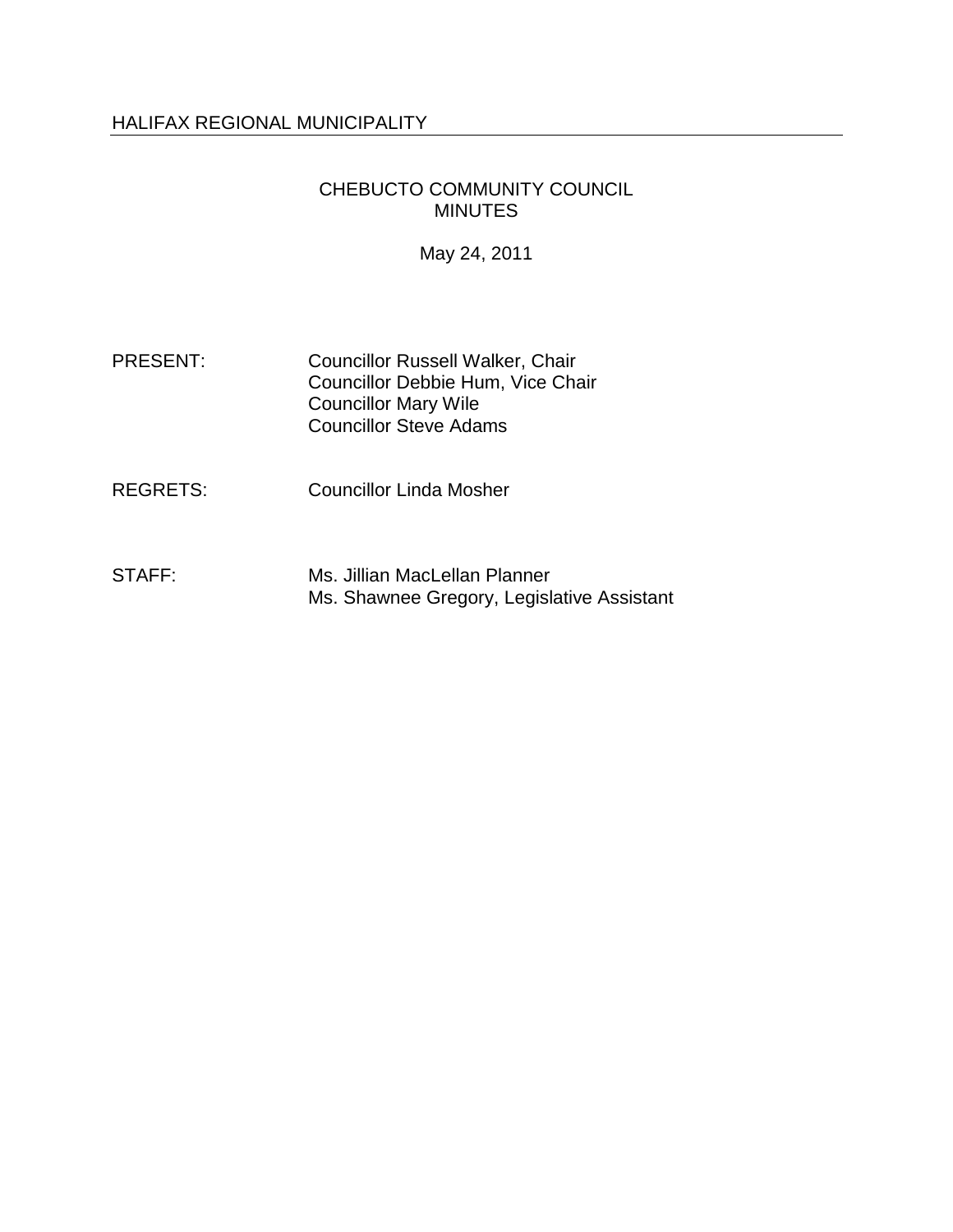## HALIFAX REGIONAL MUNICIPALITY

### CHEBUCTO COMMUNITY COUNCIL MINUTES

May 24, 2011

- PRESENT: Councillor Russell Walker, Chair Councillor Debbie Hum, Vice Chair Councillor Mary Wile Councillor Steve Adams
- REGRETS: Councillor Linda Mosher
- STAFF: Ms. Jillian MacLellan Planner Ms. Shawnee Gregory, Legislative Assistant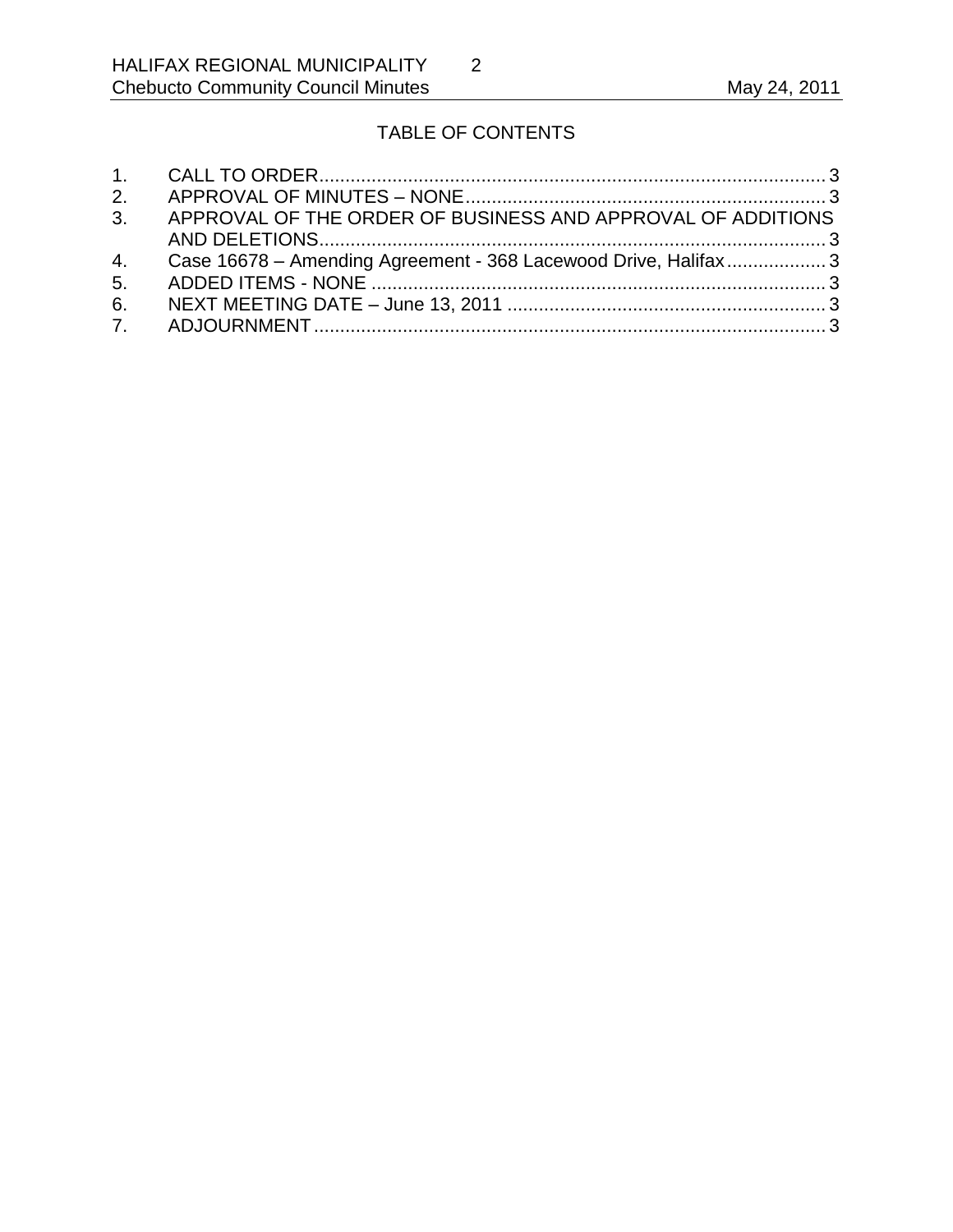# TABLE OF CONTENTS

|    | 3. APPROVAL OF THE ORDER OF BUSINESS AND APPROVAL OF ADDITIONS    |  |
|----|-------------------------------------------------------------------|--|
|    |                                                                   |  |
|    | 4. Case 16678 - Amending Agreement - 368 Lacewood Drive, Halifax3 |  |
| 5. |                                                                   |  |
|    |                                                                   |  |
|    |                                                                   |  |